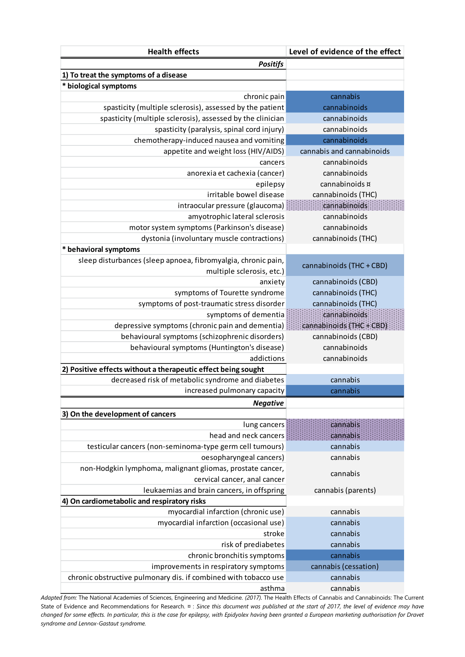| <b>Positifs</b><br>1) To treat the symptoms of a disease<br>* biological symptoms<br>cannabis<br>chronic pain<br>spasticity (multiple sclerosis), assessed by the patient<br>cannabinoids<br>spasticity (multiple sclerosis), assessed by the clinician<br>cannabinoids<br>spasticity (paralysis, spinal cord injury)<br>cannabinoids<br>chemotherapy-induced nausea and vomiting<br>cannabinoids<br>appetite and weight loss (HIV/AIDS)<br>cannabis and cannabinoids<br>cannabinoids<br>cancers<br>cannabinoids<br>anorexia et cachexia (cancer)<br>cannabinoids ¤<br>epilepsy<br>irritable bowel disease<br>cannabinoids (THC)<br>cannabinoids<br>intraocular pressure (glaucoma):<br>amyotrophic lateral sclerosis<br>cannabinoids<br>motor system symptoms (Parkinson's disease)<br>cannabinoids<br>dystonia (involuntary muscle contractions)<br>cannabinoids (THC)<br>* behavioral symptoms<br>sleep disturbances (sleep apnoea, fibromyalgia, chronic pain,<br>cannabinoids (THC + CBD)<br>multiple sclerosis, etc.)<br>cannabinoids (CBD)<br>anxiety<br>symptoms of Tourette syndrome<br>cannabinoids (THC)<br>cannabinoids (THC)<br>symptoms of post-traumatic stress disorder<br>symptoms of dementia<br>cannabinoids<br>depressive symptoms (chronic pain and dementia)<br>cannabinoids (THC+CBD).<br>behavioural symptoms (schizophrenic disorders)<br>cannabinoids (CBD)<br>behavioural symptoms (Huntington's disease)<br>cannabinoids<br>addictions<br>cannabinoids<br>2) Positive effects without a therapeutic effect being sought<br>decreased risk of metabolic syndrome and diabetes<br>cannabis<br>increased pulmonary capacity<br>cannabis<br><b>Negative</b><br>3) On the development of cancers<br>cannabis<br>lung cancers<br>head and neck cancers<br>cannabis<br>testicular cancers (non-seminoma-type germ cell tumours)<br>cannabis<br>oesopharyngeal cancers)<br>cannabis<br>non-Hodgkin lymphoma, malignant gliomas, prostate cancer,<br>cannabis<br>cervical cancer, anal cancer<br>leukaemias and brain cancers, in offspring<br>cannabis (parents)<br>4) On cardiometabolic and respiratory risks<br>myocardial infarction (chronic use)<br>cannabis<br>myocardial infarction (occasional use)<br>cannabis<br>stroke<br>cannabis<br>risk of prediabetes<br>cannabis<br>chronic bronchitis symptoms<br>cannabis<br>improvements in respiratory symptoms<br>cannabis (cessation)<br>chronic obstructive pulmonary dis. if combined with tobacco use<br>cannabis | <b>Health effects</b> | Level of evidence of the effect |  |
|-------------------------------------------------------------------------------------------------------------------------------------------------------------------------------------------------------------------------------------------------------------------------------------------------------------------------------------------------------------------------------------------------------------------------------------------------------------------------------------------------------------------------------------------------------------------------------------------------------------------------------------------------------------------------------------------------------------------------------------------------------------------------------------------------------------------------------------------------------------------------------------------------------------------------------------------------------------------------------------------------------------------------------------------------------------------------------------------------------------------------------------------------------------------------------------------------------------------------------------------------------------------------------------------------------------------------------------------------------------------------------------------------------------------------------------------------------------------------------------------------------------------------------------------------------------------------------------------------------------------------------------------------------------------------------------------------------------------------------------------------------------------------------------------------------------------------------------------------------------------------------------------------------------------------------------------------------------------------------------------------------------------------------------------------------------------------------------------------------------------------------------------------------------------------------------------------------------------------------------------------------------------------------------------------------------------------------------------------------------------------------------------------------------------------------------------------------------------------------------------------|-----------------------|---------------------------------|--|
|                                                                                                                                                                                                                                                                                                                                                                                                                                                                                                                                                                                                                                                                                                                                                                                                                                                                                                                                                                                                                                                                                                                                                                                                                                                                                                                                                                                                                                                                                                                                                                                                                                                                                                                                                                                                                                                                                                                                                                                                                                                                                                                                                                                                                                                                                                                                                                                                                                                                                                 |                       |                                 |  |
|                                                                                                                                                                                                                                                                                                                                                                                                                                                                                                                                                                                                                                                                                                                                                                                                                                                                                                                                                                                                                                                                                                                                                                                                                                                                                                                                                                                                                                                                                                                                                                                                                                                                                                                                                                                                                                                                                                                                                                                                                                                                                                                                                                                                                                                                                                                                                                                                                                                                                                 |                       |                                 |  |
|                                                                                                                                                                                                                                                                                                                                                                                                                                                                                                                                                                                                                                                                                                                                                                                                                                                                                                                                                                                                                                                                                                                                                                                                                                                                                                                                                                                                                                                                                                                                                                                                                                                                                                                                                                                                                                                                                                                                                                                                                                                                                                                                                                                                                                                                                                                                                                                                                                                                                                 |                       |                                 |  |
|                                                                                                                                                                                                                                                                                                                                                                                                                                                                                                                                                                                                                                                                                                                                                                                                                                                                                                                                                                                                                                                                                                                                                                                                                                                                                                                                                                                                                                                                                                                                                                                                                                                                                                                                                                                                                                                                                                                                                                                                                                                                                                                                                                                                                                                                                                                                                                                                                                                                                                 |                       |                                 |  |
|                                                                                                                                                                                                                                                                                                                                                                                                                                                                                                                                                                                                                                                                                                                                                                                                                                                                                                                                                                                                                                                                                                                                                                                                                                                                                                                                                                                                                                                                                                                                                                                                                                                                                                                                                                                                                                                                                                                                                                                                                                                                                                                                                                                                                                                                                                                                                                                                                                                                                                 |                       |                                 |  |
|                                                                                                                                                                                                                                                                                                                                                                                                                                                                                                                                                                                                                                                                                                                                                                                                                                                                                                                                                                                                                                                                                                                                                                                                                                                                                                                                                                                                                                                                                                                                                                                                                                                                                                                                                                                                                                                                                                                                                                                                                                                                                                                                                                                                                                                                                                                                                                                                                                                                                                 |                       |                                 |  |
|                                                                                                                                                                                                                                                                                                                                                                                                                                                                                                                                                                                                                                                                                                                                                                                                                                                                                                                                                                                                                                                                                                                                                                                                                                                                                                                                                                                                                                                                                                                                                                                                                                                                                                                                                                                                                                                                                                                                                                                                                                                                                                                                                                                                                                                                                                                                                                                                                                                                                                 |                       |                                 |  |
|                                                                                                                                                                                                                                                                                                                                                                                                                                                                                                                                                                                                                                                                                                                                                                                                                                                                                                                                                                                                                                                                                                                                                                                                                                                                                                                                                                                                                                                                                                                                                                                                                                                                                                                                                                                                                                                                                                                                                                                                                                                                                                                                                                                                                                                                                                                                                                                                                                                                                                 |                       |                                 |  |
|                                                                                                                                                                                                                                                                                                                                                                                                                                                                                                                                                                                                                                                                                                                                                                                                                                                                                                                                                                                                                                                                                                                                                                                                                                                                                                                                                                                                                                                                                                                                                                                                                                                                                                                                                                                                                                                                                                                                                                                                                                                                                                                                                                                                                                                                                                                                                                                                                                                                                                 |                       |                                 |  |
|                                                                                                                                                                                                                                                                                                                                                                                                                                                                                                                                                                                                                                                                                                                                                                                                                                                                                                                                                                                                                                                                                                                                                                                                                                                                                                                                                                                                                                                                                                                                                                                                                                                                                                                                                                                                                                                                                                                                                                                                                                                                                                                                                                                                                                                                                                                                                                                                                                                                                                 |                       |                                 |  |
|                                                                                                                                                                                                                                                                                                                                                                                                                                                                                                                                                                                                                                                                                                                                                                                                                                                                                                                                                                                                                                                                                                                                                                                                                                                                                                                                                                                                                                                                                                                                                                                                                                                                                                                                                                                                                                                                                                                                                                                                                                                                                                                                                                                                                                                                                                                                                                                                                                                                                                 |                       |                                 |  |
|                                                                                                                                                                                                                                                                                                                                                                                                                                                                                                                                                                                                                                                                                                                                                                                                                                                                                                                                                                                                                                                                                                                                                                                                                                                                                                                                                                                                                                                                                                                                                                                                                                                                                                                                                                                                                                                                                                                                                                                                                                                                                                                                                                                                                                                                                                                                                                                                                                                                                                 |                       |                                 |  |
|                                                                                                                                                                                                                                                                                                                                                                                                                                                                                                                                                                                                                                                                                                                                                                                                                                                                                                                                                                                                                                                                                                                                                                                                                                                                                                                                                                                                                                                                                                                                                                                                                                                                                                                                                                                                                                                                                                                                                                                                                                                                                                                                                                                                                                                                                                                                                                                                                                                                                                 |                       |                                 |  |
|                                                                                                                                                                                                                                                                                                                                                                                                                                                                                                                                                                                                                                                                                                                                                                                                                                                                                                                                                                                                                                                                                                                                                                                                                                                                                                                                                                                                                                                                                                                                                                                                                                                                                                                                                                                                                                                                                                                                                                                                                                                                                                                                                                                                                                                                                                                                                                                                                                                                                                 |                       |                                 |  |
|                                                                                                                                                                                                                                                                                                                                                                                                                                                                                                                                                                                                                                                                                                                                                                                                                                                                                                                                                                                                                                                                                                                                                                                                                                                                                                                                                                                                                                                                                                                                                                                                                                                                                                                                                                                                                                                                                                                                                                                                                                                                                                                                                                                                                                                                                                                                                                                                                                                                                                 |                       |                                 |  |
|                                                                                                                                                                                                                                                                                                                                                                                                                                                                                                                                                                                                                                                                                                                                                                                                                                                                                                                                                                                                                                                                                                                                                                                                                                                                                                                                                                                                                                                                                                                                                                                                                                                                                                                                                                                                                                                                                                                                                                                                                                                                                                                                                                                                                                                                                                                                                                                                                                                                                                 |                       |                                 |  |
|                                                                                                                                                                                                                                                                                                                                                                                                                                                                                                                                                                                                                                                                                                                                                                                                                                                                                                                                                                                                                                                                                                                                                                                                                                                                                                                                                                                                                                                                                                                                                                                                                                                                                                                                                                                                                                                                                                                                                                                                                                                                                                                                                                                                                                                                                                                                                                                                                                                                                                 |                       |                                 |  |
|                                                                                                                                                                                                                                                                                                                                                                                                                                                                                                                                                                                                                                                                                                                                                                                                                                                                                                                                                                                                                                                                                                                                                                                                                                                                                                                                                                                                                                                                                                                                                                                                                                                                                                                                                                                                                                                                                                                                                                                                                                                                                                                                                                                                                                                                                                                                                                                                                                                                                                 |                       |                                 |  |
|                                                                                                                                                                                                                                                                                                                                                                                                                                                                                                                                                                                                                                                                                                                                                                                                                                                                                                                                                                                                                                                                                                                                                                                                                                                                                                                                                                                                                                                                                                                                                                                                                                                                                                                                                                                                                                                                                                                                                                                                                                                                                                                                                                                                                                                                                                                                                                                                                                                                                                 |                       |                                 |  |
|                                                                                                                                                                                                                                                                                                                                                                                                                                                                                                                                                                                                                                                                                                                                                                                                                                                                                                                                                                                                                                                                                                                                                                                                                                                                                                                                                                                                                                                                                                                                                                                                                                                                                                                                                                                                                                                                                                                                                                                                                                                                                                                                                                                                                                                                                                                                                                                                                                                                                                 |                       |                                 |  |
|                                                                                                                                                                                                                                                                                                                                                                                                                                                                                                                                                                                                                                                                                                                                                                                                                                                                                                                                                                                                                                                                                                                                                                                                                                                                                                                                                                                                                                                                                                                                                                                                                                                                                                                                                                                                                                                                                                                                                                                                                                                                                                                                                                                                                                                                                                                                                                                                                                                                                                 |                       |                                 |  |
|                                                                                                                                                                                                                                                                                                                                                                                                                                                                                                                                                                                                                                                                                                                                                                                                                                                                                                                                                                                                                                                                                                                                                                                                                                                                                                                                                                                                                                                                                                                                                                                                                                                                                                                                                                                                                                                                                                                                                                                                                                                                                                                                                                                                                                                                                                                                                                                                                                                                                                 |                       |                                 |  |
|                                                                                                                                                                                                                                                                                                                                                                                                                                                                                                                                                                                                                                                                                                                                                                                                                                                                                                                                                                                                                                                                                                                                                                                                                                                                                                                                                                                                                                                                                                                                                                                                                                                                                                                                                                                                                                                                                                                                                                                                                                                                                                                                                                                                                                                                                                                                                                                                                                                                                                 |                       |                                 |  |
|                                                                                                                                                                                                                                                                                                                                                                                                                                                                                                                                                                                                                                                                                                                                                                                                                                                                                                                                                                                                                                                                                                                                                                                                                                                                                                                                                                                                                                                                                                                                                                                                                                                                                                                                                                                                                                                                                                                                                                                                                                                                                                                                                                                                                                                                                                                                                                                                                                                                                                 |                       |                                 |  |
|                                                                                                                                                                                                                                                                                                                                                                                                                                                                                                                                                                                                                                                                                                                                                                                                                                                                                                                                                                                                                                                                                                                                                                                                                                                                                                                                                                                                                                                                                                                                                                                                                                                                                                                                                                                                                                                                                                                                                                                                                                                                                                                                                                                                                                                                                                                                                                                                                                                                                                 |                       |                                 |  |
|                                                                                                                                                                                                                                                                                                                                                                                                                                                                                                                                                                                                                                                                                                                                                                                                                                                                                                                                                                                                                                                                                                                                                                                                                                                                                                                                                                                                                                                                                                                                                                                                                                                                                                                                                                                                                                                                                                                                                                                                                                                                                                                                                                                                                                                                                                                                                                                                                                                                                                 |                       |                                 |  |
|                                                                                                                                                                                                                                                                                                                                                                                                                                                                                                                                                                                                                                                                                                                                                                                                                                                                                                                                                                                                                                                                                                                                                                                                                                                                                                                                                                                                                                                                                                                                                                                                                                                                                                                                                                                                                                                                                                                                                                                                                                                                                                                                                                                                                                                                                                                                                                                                                                                                                                 |                       |                                 |  |
|                                                                                                                                                                                                                                                                                                                                                                                                                                                                                                                                                                                                                                                                                                                                                                                                                                                                                                                                                                                                                                                                                                                                                                                                                                                                                                                                                                                                                                                                                                                                                                                                                                                                                                                                                                                                                                                                                                                                                                                                                                                                                                                                                                                                                                                                                                                                                                                                                                                                                                 |                       |                                 |  |
|                                                                                                                                                                                                                                                                                                                                                                                                                                                                                                                                                                                                                                                                                                                                                                                                                                                                                                                                                                                                                                                                                                                                                                                                                                                                                                                                                                                                                                                                                                                                                                                                                                                                                                                                                                                                                                                                                                                                                                                                                                                                                                                                                                                                                                                                                                                                                                                                                                                                                                 |                       |                                 |  |
|                                                                                                                                                                                                                                                                                                                                                                                                                                                                                                                                                                                                                                                                                                                                                                                                                                                                                                                                                                                                                                                                                                                                                                                                                                                                                                                                                                                                                                                                                                                                                                                                                                                                                                                                                                                                                                                                                                                                                                                                                                                                                                                                                                                                                                                                                                                                                                                                                                                                                                 |                       |                                 |  |
|                                                                                                                                                                                                                                                                                                                                                                                                                                                                                                                                                                                                                                                                                                                                                                                                                                                                                                                                                                                                                                                                                                                                                                                                                                                                                                                                                                                                                                                                                                                                                                                                                                                                                                                                                                                                                                                                                                                                                                                                                                                                                                                                                                                                                                                                                                                                                                                                                                                                                                 |                       |                                 |  |
|                                                                                                                                                                                                                                                                                                                                                                                                                                                                                                                                                                                                                                                                                                                                                                                                                                                                                                                                                                                                                                                                                                                                                                                                                                                                                                                                                                                                                                                                                                                                                                                                                                                                                                                                                                                                                                                                                                                                                                                                                                                                                                                                                                                                                                                                                                                                                                                                                                                                                                 |                       |                                 |  |
|                                                                                                                                                                                                                                                                                                                                                                                                                                                                                                                                                                                                                                                                                                                                                                                                                                                                                                                                                                                                                                                                                                                                                                                                                                                                                                                                                                                                                                                                                                                                                                                                                                                                                                                                                                                                                                                                                                                                                                                                                                                                                                                                                                                                                                                                                                                                                                                                                                                                                                 |                       |                                 |  |
|                                                                                                                                                                                                                                                                                                                                                                                                                                                                                                                                                                                                                                                                                                                                                                                                                                                                                                                                                                                                                                                                                                                                                                                                                                                                                                                                                                                                                                                                                                                                                                                                                                                                                                                                                                                                                                                                                                                                                                                                                                                                                                                                                                                                                                                                                                                                                                                                                                                                                                 |                       |                                 |  |
|                                                                                                                                                                                                                                                                                                                                                                                                                                                                                                                                                                                                                                                                                                                                                                                                                                                                                                                                                                                                                                                                                                                                                                                                                                                                                                                                                                                                                                                                                                                                                                                                                                                                                                                                                                                                                                                                                                                                                                                                                                                                                                                                                                                                                                                                                                                                                                                                                                                                                                 |                       |                                 |  |
|                                                                                                                                                                                                                                                                                                                                                                                                                                                                                                                                                                                                                                                                                                                                                                                                                                                                                                                                                                                                                                                                                                                                                                                                                                                                                                                                                                                                                                                                                                                                                                                                                                                                                                                                                                                                                                                                                                                                                                                                                                                                                                                                                                                                                                                                                                                                                                                                                                                                                                 |                       |                                 |  |
|                                                                                                                                                                                                                                                                                                                                                                                                                                                                                                                                                                                                                                                                                                                                                                                                                                                                                                                                                                                                                                                                                                                                                                                                                                                                                                                                                                                                                                                                                                                                                                                                                                                                                                                                                                                                                                                                                                                                                                                                                                                                                                                                                                                                                                                                                                                                                                                                                                                                                                 |                       |                                 |  |
|                                                                                                                                                                                                                                                                                                                                                                                                                                                                                                                                                                                                                                                                                                                                                                                                                                                                                                                                                                                                                                                                                                                                                                                                                                                                                                                                                                                                                                                                                                                                                                                                                                                                                                                                                                                                                                                                                                                                                                                                                                                                                                                                                                                                                                                                                                                                                                                                                                                                                                 |                       |                                 |  |
|                                                                                                                                                                                                                                                                                                                                                                                                                                                                                                                                                                                                                                                                                                                                                                                                                                                                                                                                                                                                                                                                                                                                                                                                                                                                                                                                                                                                                                                                                                                                                                                                                                                                                                                                                                                                                                                                                                                                                                                                                                                                                                                                                                                                                                                                                                                                                                                                                                                                                                 |                       |                                 |  |
|                                                                                                                                                                                                                                                                                                                                                                                                                                                                                                                                                                                                                                                                                                                                                                                                                                                                                                                                                                                                                                                                                                                                                                                                                                                                                                                                                                                                                                                                                                                                                                                                                                                                                                                                                                                                                                                                                                                                                                                                                                                                                                                                                                                                                                                                                                                                                                                                                                                                                                 |                       |                                 |  |
|                                                                                                                                                                                                                                                                                                                                                                                                                                                                                                                                                                                                                                                                                                                                                                                                                                                                                                                                                                                                                                                                                                                                                                                                                                                                                                                                                                                                                                                                                                                                                                                                                                                                                                                                                                                                                                                                                                                                                                                                                                                                                                                                                                                                                                                                                                                                                                                                                                                                                                 |                       |                                 |  |
|                                                                                                                                                                                                                                                                                                                                                                                                                                                                                                                                                                                                                                                                                                                                                                                                                                                                                                                                                                                                                                                                                                                                                                                                                                                                                                                                                                                                                                                                                                                                                                                                                                                                                                                                                                                                                                                                                                                                                                                                                                                                                                                                                                                                                                                                                                                                                                                                                                                                                                 |                       |                                 |  |
|                                                                                                                                                                                                                                                                                                                                                                                                                                                                                                                                                                                                                                                                                                                                                                                                                                                                                                                                                                                                                                                                                                                                                                                                                                                                                                                                                                                                                                                                                                                                                                                                                                                                                                                                                                                                                                                                                                                                                                                                                                                                                                                                                                                                                                                                                                                                                                                                                                                                                                 |                       |                                 |  |
|                                                                                                                                                                                                                                                                                                                                                                                                                                                                                                                                                                                                                                                                                                                                                                                                                                                                                                                                                                                                                                                                                                                                                                                                                                                                                                                                                                                                                                                                                                                                                                                                                                                                                                                                                                                                                                                                                                                                                                                                                                                                                                                                                                                                                                                                                                                                                                                                                                                                                                 |                       |                                 |  |
|                                                                                                                                                                                                                                                                                                                                                                                                                                                                                                                                                                                                                                                                                                                                                                                                                                                                                                                                                                                                                                                                                                                                                                                                                                                                                                                                                                                                                                                                                                                                                                                                                                                                                                                                                                                                                                                                                                                                                                                                                                                                                                                                                                                                                                                                                                                                                                                                                                                                                                 |                       |                                 |  |
|                                                                                                                                                                                                                                                                                                                                                                                                                                                                                                                                                                                                                                                                                                                                                                                                                                                                                                                                                                                                                                                                                                                                                                                                                                                                                                                                                                                                                                                                                                                                                                                                                                                                                                                                                                                                                                                                                                                                                                                                                                                                                                                                                                                                                                                                                                                                                                                                                                                                                                 |                       |                                 |  |
|                                                                                                                                                                                                                                                                                                                                                                                                                                                                                                                                                                                                                                                                                                                                                                                                                                                                                                                                                                                                                                                                                                                                                                                                                                                                                                                                                                                                                                                                                                                                                                                                                                                                                                                                                                                                                                                                                                                                                                                                                                                                                                                                                                                                                                                                                                                                                                                                                                                                                                 |                       |                                 |  |
|                                                                                                                                                                                                                                                                                                                                                                                                                                                                                                                                                                                                                                                                                                                                                                                                                                                                                                                                                                                                                                                                                                                                                                                                                                                                                                                                                                                                                                                                                                                                                                                                                                                                                                                                                                                                                                                                                                                                                                                                                                                                                                                                                                                                                                                                                                                                                                                                                                                                                                 |                       |                                 |  |
|                                                                                                                                                                                                                                                                                                                                                                                                                                                                                                                                                                                                                                                                                                                                                                                                                                                                                                                                                                                                                                                                                                                                                                                                                                                                                                                                                                                                                                                                                                                                                                                                                                                                                                                                                                                                                                                                                                                                                                                                                                                                                                                                                                                                                                                                                                                                                                                                                                                                                                 | asthma                | cannabis                        |  |

*Adapted from:* The National Academies of Sciences, Engineering and Medicine. *(2017).* The Health Effects of Cannabis and Cannabinoids: The Current State of Evidence and Recommendations for Research. ¤ : *Since this document was published at the start of 2017, the level of evidence may have changed for some effects. In particular, this is the case for epilepsy, with Epidyolex having been granted a European marketing authorisation for Dravet syndrome and Lennox-Gastaut syndrome.*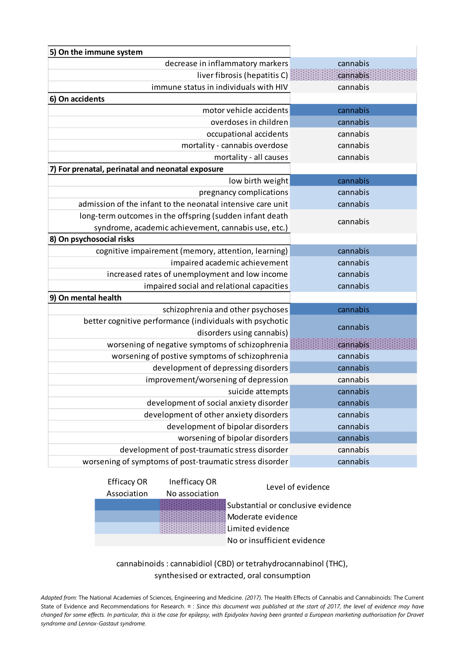| 5) On the immune system                                     |          |  |
|-------------------------------------------------------------|----------|--|
| decrease in inflammatory markers                            | cannabis |  |
| liver fibrosis (hepatitis C)                                | cannabis |  |
| immune status in individuals with HIV                       | cannabis |  |
| 6) On accidents                                             |          |  |
| motor vehicle accidents                                     | cannabis |  |
| overdoses in children                                       | cannabis |  |
| occupational accidents                                      | cannabis |  |
| mortality - cannabis overdose                               | cannabis |  |
| mortality - all causes                                      | cannabis |  |
| 7) For prenatal, perinatal and neonatal exposure            |          |  |
| low birth weight                                            | cannabis |  |
| pregnancy complications                                     | cannabis |  |
| admission of the infant to the neonatal intensive care unit | cannabis |  |
| long-term outcomes in the offspring (sudden infant death    | cannabis |  |
| syndrome, academic achievement, cannabis use, etc.)         |          |  |
| 8) On psychosocial risks                                    |          |  |
| cognitive impairement (memory, attention, learning)         | cannabis |  |
| impaired academic achievement                               | cannabis |  |
| increased rates of unemployment and low income              | cannabis |  |
| impaired social and relational capacities                   | cannabis |  |
| 9) On mental health                                         |          |  |
| schizophrenia and other psychoses                           | cannabis |  |
| better cognitive performance (individuals with psychotic    | cannabis |  |
| disorders using cannabis)                                   |          |  |
| worsening of negative symptoms of schizophrenia             | cannabis |  |
| worsening of postive symptoms of schizophrenia              | cannabis |  |
| development of depressing disorders                         | cannabis |  |
| improvement/worsening of depression                         | cannabis |  |
| suicide attempts                                            | cannabis |  |
| development of social anxiety disorder                      | cannabis |  |
| development of other anxiety disorders                      | cannabis |  |
| development of bipolar disorders                            | cannabis |  |
| worsening of bipolar disorders                              | cannabis |  |
| development of post-traumatic stress disorder               | cannabis |  |
| worsening of symptoms of post-traumatic stress disorder     | cannabis |  |

| <b>Efficacy OR</b> | Inefficacy OR  | Level of evidence                  |  |
|--------------------|----------------|------------------------------------|--|
| Association        | No association |                                    |  |
|                    |                | Substantial or conclusive evidence |  |
|                    |                | Moderate evidence                  |  |
|                    |                | Limited evidence                   |  |
|                    |                | No or insufficient evidence        |  |
|                    |                |                                    |  |

cannabinoids : cannabidiol (CBD) or tetrahydrocannabinol (THC), synthesised or extracted, oral consumption

*Adapted from:* The National Academies of Sciences, Engineering and Medicine. *(2017).* The Health Effects of Cannabis and Cannabinoids: The Current State of Evidence and Recommendations for Research. ¤: Since this document was published at the start of 2017, the level of evidence may have *changed for some effects. In particular, this is the case for epilepsy, with Epidyolex having been granted a European marketing authorisation for Dravet syndrome and Lennox-Gastaut syndrome.*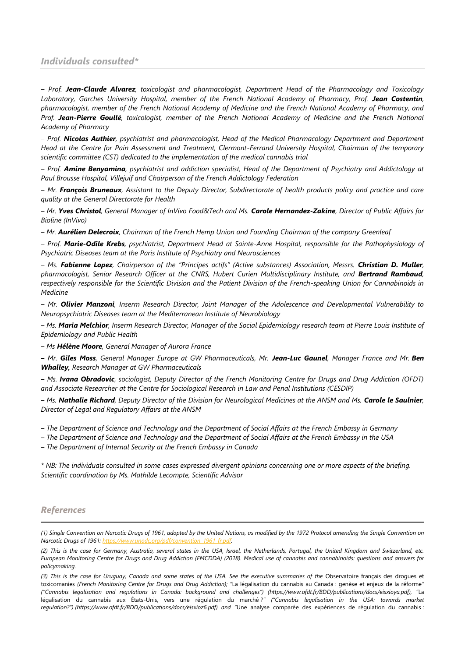## *Individuals consulted\**

*– Prof. Jean-Claude Alvarez, toxicologist and pharmacologist, Department Head of the Pharmacology and Toxicology*  Laboratory, Garches University Hospital, member of the French National Academy of Pharmacy, Prof. Jean Costentin, *pharmacologist, member of the French National Academy of Medicine and the French National Academy of Pharmacy, and Prof. Jean-Pierre Goullé, toxicologist, member of the French National Academy of Medicine and the French National Academy of Pharmacy*

*– Prof. Nicolas Authier, psychiatrist and pharmacologist, Head of the Medical Pharmacology Department and Department Head at the Centre for Pain Assessment and Treatment, Clermont-Ferrand University Hospital, Chairman of the temporary scientific committee (CST) dedicated to the implementation of the medical cannabis trial*

*– Prof. Amine Benyamina, psychiatrist and addiction specialist, Head of the Department of Psychiatry and Addictology at Paul Brousse Hospital, Villejuif and Chairperson of the French Addictology Federation*

*– Mr. François Bruneaux, Assistant to the Deputy Director, Subdirectorate of health products policy and practice and care quality at the General Directorate for Health*

*– Mr. Yves Christol, General Manager of InVivo Food&Tech and Ms. Carole Hernandez-Zakine, Director of Public Affairs for Bioline (InVivo)*

*– Mr. Aurélien Delecroix, Chairman of the French Hemp Union and Founding Chairman of the company Greenleaf*

*– Prof. Marie-Odile Krebs, psychiatrist, Department Head at Sainte-Anne Hospital, responsible for the Pathophysiology of Psychiatric Diseases team at the Paris Institute of Psychiatry and Neurosciences*

*– Ms. Fabienne Lopez, Chairperson of the "Principes actifs" (Active substances) Association, Messrs. Christian D. Muller, pharmacologist, Senior Research Officer at the CNRS, Hubert Curien Multidisciplinary Institute, and Bertrand Rambaud, respectively responsible for the Scientific Division and the Patient Division of the French-speaking Union for Cannabinoids in Medicine*

*– Mr. Olivier Manzoni, Inserm Research Director, Joint Manager of the Adolescence and Developmental Vulnerability to Neuropsychiatric Diseases team at the Mediterranean Institute of Neurobiology*

– *Ms. Maria Melchior, Inserm Research Director, Manager of the Social Epidemiology research team at Pierre Louis Institute of Epidemiology and Public Health*

– *Ms Hélène Moore, General Manager of Aurora France*

– *Mr. Giles Moss, General Manager Europe at GW Pharmaceuticals, Mr. Jean-Luc Gaunel, Manager France and Mr. Ben Whalley, Research Manager at GW Pharmaceuticals*

– *Ms. Ivana Obradovic, sociologist, Deputy Director of the French Monitoring Centre for Drugs and Drug Addiction (OFDT) and Associate Researcher at the Centre for Sociological Research in Law and Penal Institutions (CESDIP)*

– *Ms. Nathalie Richard, Deputy Director of the Division for Neurological Medicines at the ANSM and Ms. Carole le Saulnier, Director of Legal and Regulatory Affairs at the ANSM*

– *The Department of Science and Technology and the Department of Social Affairs at the French Embassy in Germany*

– *The Department of Science and Technology and the Department of Social Affairs at the French Embassy in the USA*

– *The Department of Internal Security at the French Embassy in Canada*

*\* NB: The individuals consulted in some cases expressed divergent opinions concerning one or more aspects of the briefing. Scientific coordination by Ms. Mathilde Lecompte, Scientific Advisor*

## *References*

 $\overline{a}$ 

*<sup>(1)</sup> Single Convention on Narcotic Drugs of 1961, adopted by the United Nations, as modified by the 1972 Protocol amending the Single Convention on Narcotic Drugs of 1961[: https://www.unodc.org/pdf/convention\\_1961\\_fr.pdf.](https://www.unodc.org/pdf/convention_1961_fr.pdf)*

*<sup>(2)</sup> This is the case for Germany, Australia, several states in the USA, Israel, the Netherlands, Portugal, the United Kingdom and Switzerland, etc. European Monitoring Centre for Drugs and Drug Addiction (EMCDDA) (2018). Medical use of cannabis and cannabinoids: questions and answers for policymaking.*

*<sup>(3)</sup> This is the case for Uruguay, Canada and some states of the USA. See the executive summaries of the* Observatoire français des drogues et toxicomanies *(French Monitoring Centre for Drugs and Drug Addiction); "*La légalisation du cannabis au Canada : genèse et enjeux de la réforme*" ("Cannabis legalisation and regulations in Canada: background and challenges") (https://www.ofdt.fr/BDD/publications/docs/eisxioya.pdf), "*La légalisation du cannabis aux États-Unis, vers une régulation du marché ?*" ("Cannabis legalisation in the USA: towards market regulation?") (https://www.ofdt.fr/BDD/publications/docs/eisxioz6.pdf) and "*Une analyse comparée des expériences de régulation du cannabis :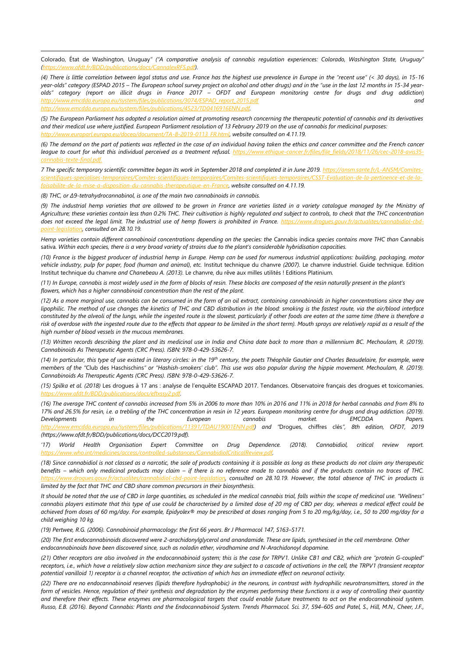Colorado, État de Washington, Uruguay*" ("A comparative analysis of cannabis regulation experiences: Colorado, Washington State, Uruguay" [\(https://www.ofdt.fr/BDD/publications/docs/CannalexRFS.pdf\)](https://www.ofdt.fr/BDD/publications/docs/CannalexRFS.pdf).*

(4) There is little correlation between legal status and use. France has the highest use prevalence in Europe in the "recent use" (< 30 days), in 15-16 *year-olds" category (ESPAD 2015 – The European school survey project on alcohol and other drugs) and in the "use in the last 12 months in 15-34 yearolds" category (report on illicit drugs in France 2017 – OFDT and European monitoring centre for drugs and drug addiction*) *[http://www.emcdda.europa.eu/system/files/publications/3074/ESPAD\\_report\\_2015.pdf](http://www.emcdda.europa.eu/system/files/publications/3074/ESPAD_report_2015.pdf) and [http://www.emcdda.europa.eu/system/files/publications/4523/TD0416916ENN.pdf.](http://www.emcdda.europa.eu/system/files/publications/4523/TD0416916ENN.pdf)*

*(5) The European Parliament has adopted a resolution aimed at promoting research concerning the therapeutic potential of cannabis and its derivatives and their medical use where justified. European Parliament resolution of 13 February 2019 on the use of cannabis for medicinal purposes: [http://www.europarl.europa.eu/doceo/document/TA-8-2019-0113\\_FR.html,](http://www.europarl.europa.eu/doceo/document/TA-8-2019-0113_FR.html) website consulted on 4.11.19.* 

*(6) The demand on the part of patients was reflected in the case of an individual having taken the ethics and cancer committee and the French cancer league to court for what this individual perceived as a treatment refusal. [https://www.ethique-cancer.fr/files/file\\_fields/2018/11/26/cec-2018-avis35](https://www.ethique-cancer.fr/files/file_fields/2018/11/26/cec-2018-avis35-cannabis-texte-final.pdf) [cannabis-texte-final.pdf.](https://www.ethique-cancer.fr/files/file_fields/2018/11/26/cec-2018-avis35-cannabis-texte-final.pdf)*

*7 The specific temporary scientific committee began its work in September 2018 and completed it in June 2019[. https://ansm.sante.fr/L-ANSM/Comites](https://ansm.sante.fr/L-ANSM/Comites-scientifiques-specialises-temporaires/Comites-scientifiques-temporaires/Comites-scientifiques-temporaires/CSST-Evaluation-de-la-pertinence-et-de-la-faisabilite-de-la-mise-a-disposition-du-cannabis-therapeutique-en-France)[scientifiques-specialises-temporaires/Comites-scientifiques-temporaires/Comites-scientifiques-temporaires/CSST-Evaluation-de-la-pertinence-et-de-la](https://ansm.sante.fr/L-ANSM/Comites-scientifiques-specialises-temporaires/Comites-scientifiques-temporaires/Comites-scientifiques-temporaires/CSST-Evaluation-de-la-pertinence-et-de-la-faisabilite-de-la-mise-a-disposition-du-cannabis-therapeutique-en-France)[faisabilite-de-la-mise-a-disposition-du-cannabis-therapeutique-en-France,](https://ansm.sante.fr/L-ANSM/Comites-scientifiques-specialises-temporaires/Comites-scientifiques-temporaires/Comites-scientifiques-temporaires/CSST-Evaluation-de-la-pertinence-et-de-la-faisabilite-de-la-mise-a-disposition-du-cannabis-therapeutique-en-France) website consulted on 4.11.19.*

*(8) THC, or Δ9-tetrahydrocannabinol, is one of the main two cannabinoids in cannabis.*

-

*(9) The industrial hemp varieties that are allowed to be grown in France are varieties listed in a variety catalogue managed by the Ministry of*  Agriculture; these varieties contain less than 0.2% THC. Their cultivation is highly regulated and subject to controls, to check that the THC concentration does not exceed the legal limit. The industrial use of hemp flowers is prohibited in France. [https://www.drogues.gouv.fr/actualites/cannabidiol-cbd](https://www.drogues.gouv.fr/actualites/cannabidiol-cbd-point-legislation)*[point-legislation,](https://www.drogues.gouv.fr/actualites/cannabidiol-cbd-point-legislation) consulted on 28.10.19.*

*Hemp varieties contain different cannabinoid concentrations depending on the species: the* Cannabis indica *species contains more THC than* Cannabis sativa*. Within each species, there is a very broad variety of strains due to the plant's considerable hybridisation capacities.*

*(10) France is the biggest producer of industrial hemp in Europe. Hemp can be used for numerous industrial applications: building, packaging, motor*  vehicle industry, pulp for paper, food (human and animal), etc. Institut technique du chanvre (2007). Le chanvre industriel. Guide technique. Edition Institut technique du chanvre *and Chanebeau A. (2013).* Le chanvre, du rêve aux milles utilités ! Editions Platinium*.*

*(11) In Europe, cannabis is most widely used in the form of blocks of resin. These blocks are composed of the resin naturally present in the plant's flowers, which has a higher cannabinoid concentration than the rest of the plant.*

*(12) As a more marginal use, cannabis can be consumed in the form of an oil extract, containing cannabinoids in higher concentrations since they are lipophilic. The method of use changes the kinetics of THC and CBD distribution in the blood: smoking is the fastest route, via the air/blood interface constituted by the alveoli of the lungs, while the ingested route is the slowest, particularly if other foods are eaten at the same time (there is therefore a risk of overdose with the ingested route due to the effects that appear to be limited in the short term). Mouth sprays are relatively rapid as a result of the high number of blood vessels in the mucous membranes.* 

*(13) Written records describing the plant and its medicinal use in India and China date back to more than a millennium BC. Mechoulam, R. (2019). Cannabinoids As Therapeutic Agents (CRC Press). ISBN: 978-0-429-53626-7.*

*(14) In particular, this type of use existed in literary circles: in the 19th century, the poets Théophile Gautier and Charles Beaudelaire, for example, were members of the "*Club des Haschischins*" or "Hashish-smokers' club". This use was also popular during the hippie movement. Mechoulam, R. (2019). Cannabinoids As Therapeutic Agents (CRC Press). ISBN: 978-0-429-53626-7.*

*(15) Spilka et al. (2018)* Les drogues à 17 ans : analyse de l'enquête ESCAPAD 2017. Tendances. Observatoire français des drogues et toxicomanies*. [https://www.ofdt.fr/BDD/publications/docs/eftxssy2.pdf.](https://www.ofdt.fr/BDD/publications/docs/eftxssy2.pdf)*

*(16) The average THC content of cannabis increased from 5% in 2006 to more than 10% in 2016 and 11% in 2018 for herbal cannabis and from 8% to 17% and 26.5% for resin, i.e. a trebling of the THC concentration in resin in 12 years. European monitoring centre for drugs and drug addiction. (2019). Developments in the European cannabis market. EMCDDA Papers. <http://www.emcdda.europa.eu/system/files/publications/11391/TDAU19001ENN.pdf>) and "*Drogues, chiffres clés*", 8th edition, OFDT, 2019 (https://www.ofdt.fr/BDD/publications/docs/DCC2019.pdf).*

*'17) World Health Organisation Expert Committee on Drug Dependence. (2018). Cannabidiol, critical review report. [https://www.who.int/medicines/access/controlled-substances/CannabidiolCriticalReview.pdf.](https://www.who.int/medicines/access/controlled-substances/CannabidiolCriticalReview.pdf)*

*(18) Since cannabidiol is not classed as a narcotic, the sale of products containing it is possible as long as these products do not claim any therapeutic benefits – which only medicinal products may claim – if there is no reference made to cannabis and if the products contain no traces of THC. [https://www.drogues.gouv.fr/actualites/cannabidiol-cbd-point-legislation,](https://www.drogues.gouv.fr/actualites/cannabidiol-cbd-point-legislation) consulted on 28.10.19. However, the total absence of THC in products is limited by the fact that THC and CBD share common precursors in their biosynthesis.*

*It should be noted that the use of CBD in large quantities, as scheduled in the medical cannabis trial, falls within the scope of medicinal use. "Wellness" cannabis players estimate that this type of use could be characterised by a limited dose of 20 mg of CBD per day, whereas a medical effect could be achieved from doses of 60 mg/day. For example, Epidyolex® may be prescribed at doses ranging from 5 to 20 mg/kg/day, i.e., 50 to 200 mg/day for a child weighing 10 kg.*

*(19) Pertwee, R.G. (2006). Cannabinoid pharmacology: the first 66 years*. *Br J Pharmacol 147, S163–S171.*

*(20) The first endocannabinoids discovered were 2-arachidonylglycerol and anandamide. These are lipids, synthesised in the cell membrane. Other endocannabinoids have been discovered since, such as noladin ether, virodhamine and N-Arachidonoyl dopamine.*

*(21) Other receptors are also involved in the endocannabinoid system; this is the case for TRPV1. Unlike CB1 and CB2, which are "protein G-coupled" receptors, i.e., which have a relatively slow action mechanism since they are subject to a cascade of activations in the cell, the TRPV1 (transient receptor potential vanilloid 1) receptor is a channel receptor, the activation of which has an immediate effect on neuronal activity.*

*(22) There are no endocannabinoid reserves (lipids therefore hydrophobic) in the neurons, in contrast with hydrophilic neurotransmitters, stored in the form of vesicles. Hence, regulation of their synthesis and degradation by the enzymes performing these functions is a way of controlling their quantity and therefore their effects. These enzymes are pharmacological targets that could enable future treatments to act on the endocannabinoid system. Russo, E.B. (2016). Beyond Cannabis: Plants and the Endocannabinoid System. Trends Pharmacol. Sci. 37, 594–605 and Patel, S., Hill, M.N., Cheer, J.F.,*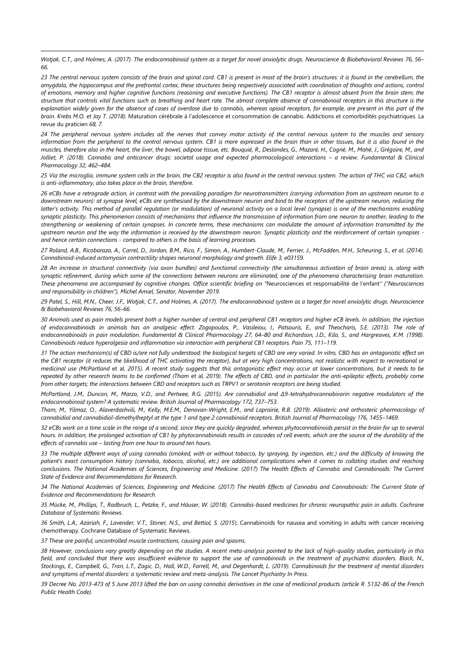*Wotjak, C.T., and Holmes, A. (2017). The endocannabinoid system as a target for novel anxiolytic drugs. Neuroscience & Biobehavioral Reviews 76, 56– 66.*

-

*23 The central nervous system consists of the brain and spinal cord. CB1 is present in most of the brain's structures: it is found in the cerebellum, the amygdala, the hippocampus and the prefrontal cortex, these structures being respectively associated with coordination of thoughts and actions, control of emotions, memory and higher cognitive functions (reasoning and executive functions). The CB1 receptor is almost absent from the brain stem, the structure that controls vital functions such as breathing and heart rate. The almost complete absence of cannabinoid receptors in this structure is the explanation widely given for the absence of cases of overdose due to cannabis, whereas opioid receptors, for example, are present in this part of the brain. Krebs M.O. et Jay T. (2018).* Maturation cérébrale à l'adolescence et consommation de cannabis. Addictions et comorbidités psychiatriques. La revue du praticien *68, 7.*

*24 The peripheral nervous system includes all the nerves that convey motor activity of the central nervous system to the muscles and sensory information from the peripheral to the central nervous system. CB1 is more expressed in the brain than in other tissues, but it is also found in the muscles, therefore also in the heart, the liver, the bowel, adipose tissue, etc. Bouquié, R., Deslandes, G., Mazaré, H., Cogné, M., Mahé, J., Grégoire, M., and Jolliet, P. (2018). Cannabis and anticancer drugs: societal usage and expected pharmacological interactions - a review. Fundamental & Clinical Pharmacology 32, 462–484.*

*25 Via the microglia, immune system cells in the brain, the CB2 receptor is also found in the central nervous system. The action of THC via CB2, which is anti-inflammatory, also takes place in the brain, therefore.*

*26 eCBs have a retrograde action, in contrast with the prevailing paradigm for neurotransmitters (carrying information from an upstream neuron to a downstream neuron): at synapse level, eCBs are synthesised by the downstream neuron and bind to the receptors of the upstream neuron, reducing the latter's activity. This method of parallel regulation (or modulation) of neuronal activity on a local level (synapse) is one of the mechanisms enabling synaptic plasticity. This phenomenon consists of mechanisms that influence the transmission of information from one neuron to another, leading to the strengthening or weakening of certain synapses. In concrete terms, these mechanisms can modulate the amount of information transmitted by the upstream neuron and the way the information is received by the downstream neuron. Synaptic plasticity and the reinforcement of certain synapses and hence certain connections - compared to others is the basis of learning processes.*

*27 Roland, A.B., Ricobaraza, A., Carrel, D., Jordan, B.M., Rico, F., Simon, A., Humbert-Claude, M., Ferrier, J., McFadden, M.H., Scheuring, S., et al. (2014). Cannabinoid-induced actomyosin contractility shapes neuronal morphology and growth. Elife 3, e03159.*

*28 An increase in structural connectivity (via axon bundles) and functional connectivity (the simultaneous activation of brain areas) is, along with synaptic refinement, during which some of the connections between neurons are eliminated, one of the phenomena characterising brain maturation. These phenomena are accompanied by cognitive changes. Office scientific briefing on "*Neurosciences et responsabilité de l'enfant*" ("Neurosciences and responsibility in children"), Michel Amiel, Senator, November 2019.*

*29 Patel, S., Hill, M.N., Cheer, J.F., Wotjak, C.T., and Holmes, A. (2017). The endocannabinoid system as a target for novel anxiolytic drugs. Neuroscience & Biobehavioral Reviews 76, 56–66.*

*30 Animals used as pain models present both a higher number of central and peripheral CB1 receptors and higher eCB levels. In addition, the injection of endocannabinoids in animals has an analgesic effect. Zogopoulos, P., Vasileiou, I., Patsouris, E., and Theocharis, S.E. (2013). The role of endocannabinoids in pain modulation. Fundamental & Clinical Pharmacology 27, 64–80 and Richardson, J.D., Kilo, S., and Hargreaves, K.M. (1998). Cannabinoids reduce hyperalgesia and inflammation via interaction with peripheral CB1 receptors. Pain 75, 111–119.*

*31 The action mechanism(s) of CBD is/are not fully understood; the biological targets of CBD are very varied. In vitro, CBD has an antagonistic effect on the CB1 receptor (it reduces the likelihood of THC activating the receptor), but at very high concentrations, not realistic with respect to recreational or medicinal use (McPartland* et al*, 2015). A recent study suggests that this antagonistic effect may occur at lower concentrations, but it needs to be repeated by other research teams to be confirmed (Tham* et al*, 2019). The effects of CBD, and in particular the anti-epileptic effects, probably come from other targets; the interactions between CBD and receptors such as TRPV1 or serotonin receptors are being studied.*

*McPartland, J.M., Duncan, M., Marzo, V.D., and Pertwee, R.G. (2015). Are cannabidiol and Δ9-tetrahydrocannabivarin negative modulators of the endocannabinoid system? A systematic review. British Journal of Pharmacology 172, 737–753.*

*Tham, M., Yilmaz, O., Alaverdashvili, M., Kelly, M.E.M., Denovan‐Wright, E.M., and Laprairie, R.B. (2019). Allosteric and orthosteric pharmacology of cannabidiol and cannabidiol-dimethylheptyl at the type 1 and type 2 cannabinoid receptors. British Journal of Pharmacology 176, 1455–1469.*

*32 eCBs work on a time scale in the range of a second, since they are quickly degraded, whereas phytocannabinoids persist in the brain for up to several hours. In addition, the prolonged activation of CB1 by phytocannabinoids results in cascades of cell events, which are the source of the durability of the effects of cannabis use – lasting from one hour to around ten hours.*

*33 The multiple different ways of using cannabis (smoked, with or without tobacco, by spraying, by ingestion, etc.) and the difficulty of knowing the*  patient's exact consumption history (cannabis, tobacco, alcohol, etc.) are additional complications when it comes to collating studies and reaching *conclusions. The National Academies of Sciences, Engineering and Medicine. (2017) The Health Effects of Cannabis and Cannabinoids: The Current State of Evidence and Recommendations for Research.*

*34 The National Academies of Sciences, Engineering and Medicine. (2017) The Health Effects of Cannabis and Cannabinoids: The Current State of Evidence and Recommendations for Research*.

*35 Mücke, M., Phillips, T., Radbruch, L., Petzke, F., and Häuser, W. (2018). Cannabis‐based medicines for chronic neuropathic pain in adults. Cochrane Database of Systematic Reviews*.

*36 Smith, L.A., Azariah, F., Lavender, V.T., Stoner, N.S., and Bettiol, S. (2015*). Cannabinoids for nausea and vomiting in adults with cancer receiving chemotherapy. Cochrane Database of Systematic Reviews.

*37 These are painful, uncontrolled muscle contractions, causing pain and spasms.*

*38 However, conclusions vary greatly depending on the studies. A recent meta-analysis pointed to the lack of high-quality studies, particularly in this*  field, and concluded that there was insufficient evidence to support the use of cannabinoids in the treatment of psychiatric disorders. Black, N., *Stockings, E., Campbell, G., Tran, L.T., Zagic, D., Hall, W.D., Farrell, M., and Degenhardt, L. (2019). Cannabinoids for the treatment of mental disorders and symptoms of mental disorders: a systematic review and meta-analysis. The Lancet Psychiatry In Press.*

*39 Decree No. 2013-473 of 5 June 2013 lifted the ban on using cannabis derivatives in the case of medicinal products (article R. 5132-86 of the French Public Health Code).*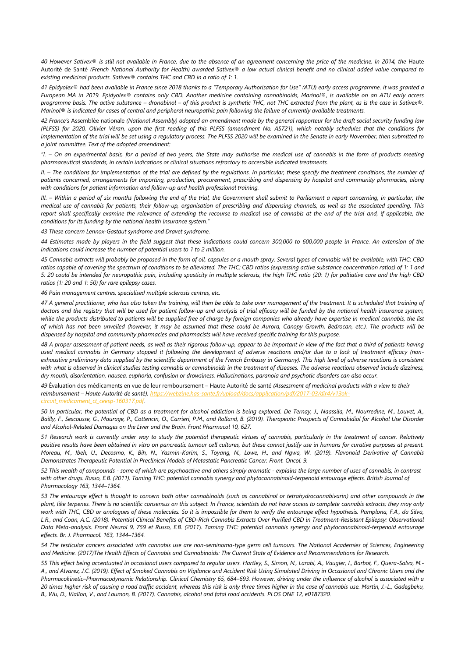*40 However Sativex® is still not available in France, due to the absence of an agreement concerning the price of the medicine. In 2014, the* Haute Autorité de Santé *(French National Authority for Health) awarded Sativex® a low actual clinical benefit and no clinical added value compared to existing medicinal products. Sativex® contains THC and CBD in a ratio of 1: 1.*

*41 Epidyolex® had been available in France since 2018 thanks to a "Temporary Authorisation for Use" (ATU) early access programme. It was granted a European MA in 2019. Epidyolex® contains only CBD. Another medicine containing cannabinoids, Marinol®, is available on an ATU early access programme basis. The active substance – dronabinol – of this product is synthetic THC, not THC extracted from the plant, as is the case in Sativex®. Marinol® is indicated for cases of central and peripheral neuropathic pain following the failure of currently available treatments.*

*42 France's* Assemblée nationale *(National Assembly) adopted an amendment made by the general rapporteur for the draft social security funding law (PLFSS) for 2020, Olivier Véran, upon the first reading of this PLFSS (amendment No. AS721), which notably schedules that the conditions for implementation of the trial will be set using a regulatory process. The PLFSS 2020 will be examined in the Senate in early November, then submitted to a joint committee. Text of the adopted amendment:* 

*"I. – On an experimental basis, for a period of two years, the State may authorise the medical use of cannabis in the form of products meeting pharmaceutical standards, in certain indications or clinical situations refractory to accessible indicated treatments.*

*II. – The conditions for implementation of the trial are defined by the regulations. In particular, these specify the treatment conditions, the number of patients concerned, arrangements for importing, production, procurement, prescribing and dispensing by hospital and community pharmacies, along with conditions for patient information and follow-up and health professional training.*

*III. – Within a period of six months following the end of the trial, the Government shall submit to Parliament a report concerning, in particular, the medical use of cannabis for patients, their follow-up, organisation of prescribing and dispensing channels, as well as the associated spending. This report shall specifically examine the relevance of extending the recourse to medical use of cannabis at the end of the trial and, if applicable, the conditions for its funding by the national health insurance system."*

*43 These concern Lennox-Gastaut syndrome and Dravet syndrome.*

-

*44 Estimates made by players in the field suggest that these indications could concern 300,000 to 600,000 people in France. An extension of the indications could increase the number of potential users to 1 to 2 million.*

*45 Cannabis extracts will probably be proposed in the form of oil, capsules or a mouth spray. Several types of cannabis will be available, with THC: CBD ratios capable of covering the spectrum of conditions to be alleviated. The THC: CBD ratios (expressing active substance concentration ratios) of 1: 1 and 5: 20 could be intended for neuropathic pain, including spasticity in multiple sclerosis, the high THC ratio (20: 1) for palliative care and the high CBD ratios (1: 20 and 1: 50) for rare epilepsy cases.*

*46 Pain management centres, specialised multiple sclerosis centres, etc.*

*47 A general practitioner, who has also taken the training, will then be able to take over management of the treatment. It is scheduled that training of*  doctors and the registry that will be used for patient follow-up and analysis of trial efficacy will be funded by the national health insurance system, *while the products distributed to patients will be supplied free of charge by foreign companies who already have expertise in medical cannabis, the list of which has not been unveiled (however, it may be assumed that these could be Aurora, Canopy Growth, Bedrocan, etc.). The products will be dispensed by hospital and community pharmacies and pharmacists will have received specific training for this purpose.*

*48 A proper assessment of patient needs, as well as their rigorous follow-up, appear to be important in view of the fact that a third of patients having used medical cannabis in Germany stopped it following the development of adverse reactions and/or due to a lack of treatment efficacy (non*exhaustive preliminary data supplied by the scientific department of the French Embassy in Germany). This high level of adverse reactions is consistent *with what is observed in clinical studies testing cannabis or cannabinoids in the treatment of diseases. The adverse reactions observed include dizziness, dry mouth, disorientation, nausea, euphoria, confusion or drowsiness. Hallucinations, paranoia and psychotic disorders can also occur.*

*49* Évaluation des médicaments en vue de leur remboursement – Haute Autorité de santé *(Assessment of medicinal products with a view to their reimbursement – Haute Autorité de santé).* http *[circuit\\_medicament\\_ct\\_ceesp-160317.pdf.](https://webzine.has-sante.fr/upload/docs/application/pdf/2017-03/dir4/v13ok-circuit_medicament_ct_ceesp-160317.pdf)*

*50 In particular, the potential of CBD as a treatment for alcohol addiction is being explored. De Ternay, J., Naassila, M., Nourredine, M., Louvet, A.,*  Bailly, F., Sescousse, G., Maurage, P., Cottencin, O., Carrieri, P.M., and Rolland, B. (2019). Therapeutic Prospects of Cannabidiol for Alcohol Use Disorder *and Alcohol-Related Damages on the Liver and the Brain. Front Pharmacol 10, 627.*

*51 Research work is currently under way to study the potential therapeutic virtues of cannabis, particularly in the treatment of cancer. Relatively positive results have been obtained in vitro on pancreatic tumour cell cultures, but these cannot justify use in humans for curative purposes at present. Moreau, M., Ibeh, U., Decosmo, K., Bih, N., Yasmin-Karim, S., Toyang, N., Lowe, H., and Ngwa, W. (2019). Flavonoid Derivative of Cannabis Demonstrates Therapeutic Potential in Preclinical Models of Metastatic Pancreatic Cancer. Front. Oncol. 9.*

*52 This wealth of compounds - some of which are psychoactive and others simply aromatic - explains the large number of uses of cannabis, in contrast with other drugs. Russo, E.B. (2011). Taming THC: potential cannabis synergy and phytocannabinoid-terpenoid entourage effects. British Journal of Pharmacology 163, 1344–1364.*

*53 The entourage effect is thought to concern both other cannabinoids (such as cannabinol or tetrahydrocannabivarin) and other compounds in the*  plant, like terpenes. There is no scientific consensus on this subject. In France, scientists do not have access to complete cannabis extracts; they may only *work with THC, CBD or analogues of these molecules. So it is impossible for them to verify the entourage effect hypothesis. Pamplona, F.A., da Silva,*  L.R., and Coan, A.C. (2018). Potential Clinical Benefits of CBD-Rich Cannabis Extracts Over Purified CBD in Treatment-Resistant Epilepsy: Observational *Data Meta-analysis. Front Neurol 9, 759 et Russo, E.B. (2011*). *Taming THC: potential cannabis synergy and phytocannabinoid-terpenoid entourage effects. Br. J. Pharmacol. 163, 1344–1364.*

*54 The testicular cancers associated with cannabis use are non-seminoma-type germ cell tumours. The National Academies of Sciences, Engineering and Medicine. (2017)The Health Effects of Cannabis and Cannabinoids: The Current State of Evidence and Recommendations for Research*.

*55 This effect being accentuated in occasional users compared to regular users. Hartley, S., Simon, N., Larabi, A., Vaugier, I., Barbot, F., Quera-Salva, M.- A., and Alvarez, J.C. (2019). Effect of Smoked Cannabis on Vigilance and Accident Risk Using Simulated Driving in Occasional and Chronic Users and the Pharmacokinetic–Pharmacodynamic Relationship. Clinical Chemistry 65, 684–693. However, driving under the influence of alcohol is associated with a 20 times higher risk of causing a road traffic accident, whereas this risk is only three times higher in the case of cannabis use. Martin, J.-L., Gadegbeku, B., Wu, D., Viallon, V., and Laumon, B. (2017). Cannabis, alcohol and fatal road accidents. PLOS ONE 12, e0187320.*